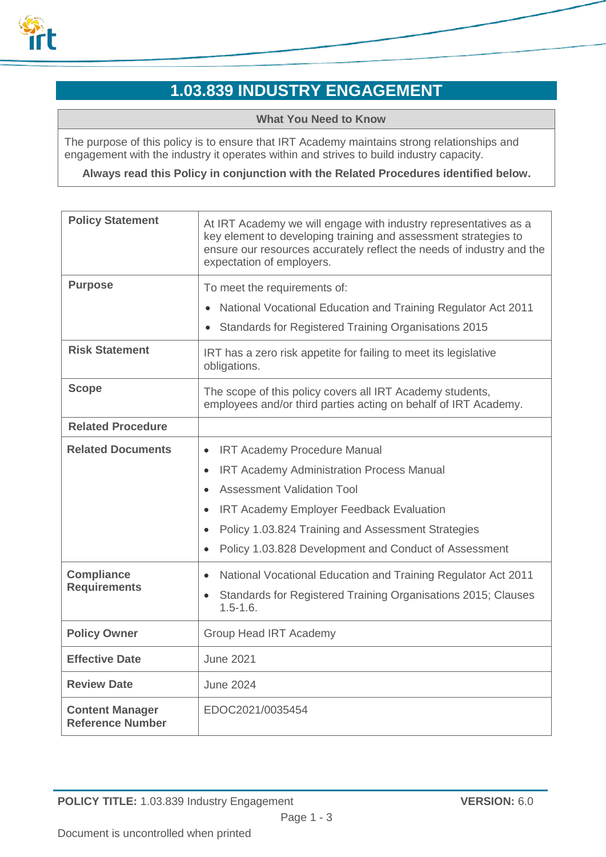

# **1.03.839 INDUSTRY ENGAGEMENT**

**What You Need to Know**

The purpose of this policy is to ensure that IRT Academy maintains strong relationships and engagement with the industry it operates within and strives to build industry capacity.

**Always read this Policy in conjunction with the Related Procedures identified below.**

| <b>Policy Statement</b>                                              | At IRT Academy we will engage with industry representatives as a<br>key element to developing training and assessment strategies to<br>ensure our resources accurately reflect the needs of industry and the<br>expectation of employers.                                                                                                                                                                                                                                                                            |
|----------------------------------------------------------------------|----------------------------------------------------------------------------------------------------------------------------------------------------------------------------------------------------------------------------------------------------------------------------------------------------------------------------------------------------------------------------------------------------------------------------------------------------------------------------------------------------------------------|
| <b>Purpose</b>                                                       | To meet the requirements of:<br>National Vocational Education and Training Regulator Act 2011<br>$\bullet$<br>Standards for Registered Training Organisations 2015<br>$\bullet$                                                                                                                                                                                                                                                                                                                                      |
| <b>Risk Statement</b>                                                | IRT has a zero risk appetite for failing to meet its legislative<br>obligations.                                                                                                                                                                                                                                                                                                                                                                                                                                     |
| <b>Scope</b>                                                         | The scope of this policy covers all IRT Academy students,<br>employees and/or third parties acting on behalf of IRT Academy.                                                                                                                                                                                                                                                                                                                                                                                         |
| <b>Related Procedure</b>                                             |                                                                                                                                                                                                                                                                                                                                                                                                                                                                                                                      |
| <b>Related Documents</b><br><b>Compliance</b><br><b>Requirements</b> | <b>IRT Academy Procedure Manual</b><br>$\bullet$<br><b>IRT Academy Administration Process Manual</b><br>$\bullet$<br><b>Assessment Validation Tool</b><br>$\bullet$<br>IRT Academy Employer Feedback Evaluation<br>$\bullet$<br>Policy 1.03.824 Training and Assessment Strategies<br>$\bullet$<br>Policy 1.03.828 Development and Conduct of Assessment<br>National Vocational Education and Training Regulator Act 2011<br>$\bullet$<br>Standards for Registered Training Organisations 2015; Clauses<br>$\bullet$ |
|                                                                      | $1.5 - 1.6.$                                                                                                                                                                                                                                                                                                                                                                                                                                                                                                         |
| <b>Policy Owner</b>                                                  | <b>Group Head IRT Academy</b>                                                                                                                                                                                                                                                                                                                                                                                                                                                                                        |
| <b>Effective Date</b>                                                | <b>June 2021</b>                                                                                                                                                                                                                                                                                                                                                                                                                                                                                                     |
| <b>Review Date</b>                                                   | <b>June 2024</b>                                                                                                                                                                                                                                                                                                                                                                                                                                                                                                     |
| <b>Content Manager</b><br><b>Reference Number</b>                    | EDOC2021/0035454                                                                                                                                                                                                                                                                                                                                                                                                                                                                                                     |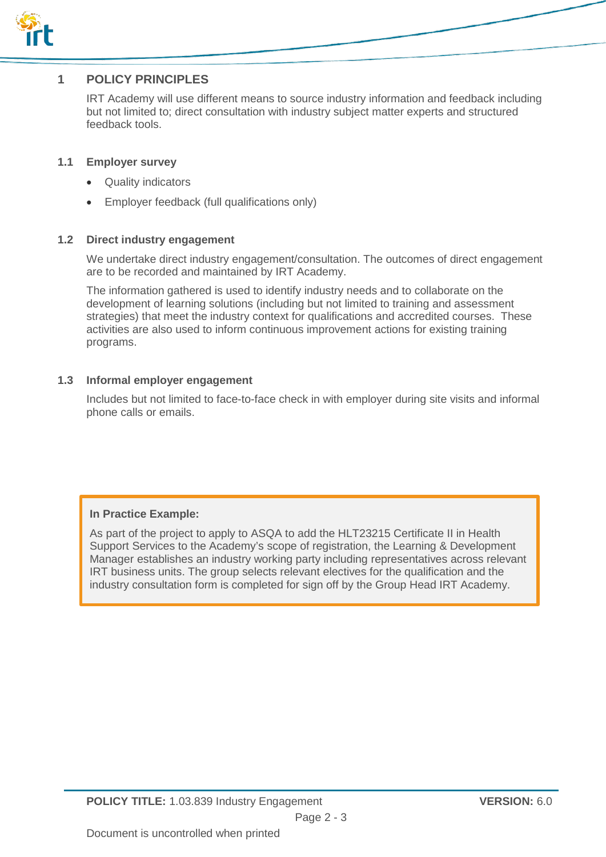

### **1 POLICY PRINCIPLES**

IRT Academy will use different means to source industry information and feedback including but not limited to; direct consultation with industry subject matter experts and structured feedback tools.

#### **1.1 Employer survey**

- Quality indicators
- Employer feedback (full qualifications only)

#### **1.2 Direct industry engagement**

We undertake direct industry engagement/consultation. The outcomes of direct engagement are to be recorded and maintained by IRT Academy.

The information gathered is used to identify industry needs and to collaborate on the development of learning solutions (including but not limited to training and assessment strategies) that meet the industry context for qualifications and accredited courses. These activities are also used to inform continuous improvement actions for existing training programs.

#### **1.3 Informal employer engagement**

Includes but not limited to face-to-face check in with employer during site visits and informal phone calls or emails.

#### **In Practice Example:**

As part of the project to apply to ASQA to add the HLT23215 Certificate II in Health Support Services to the Academy's scope of registration, the Learning & Development Manager establishes an industry working party including representatives across relevant IRT business units. The group selects relevant electives for the qualification and the industry consultation form is completed for sign off by the Group Head IRT Academy.